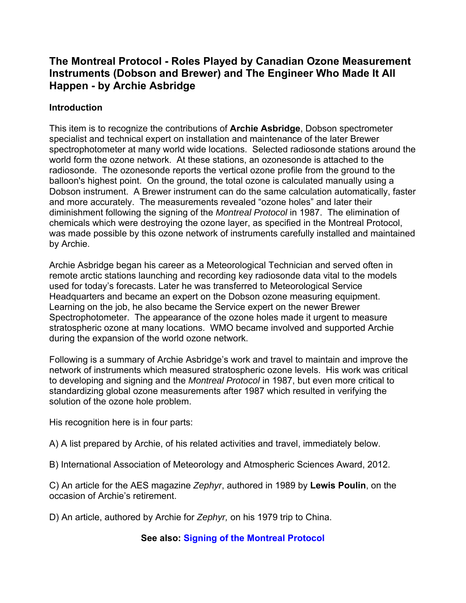# **The Montreal Protocol - Roles Played by Canadian Ozone Measurement Instruments (Dobson and Brewer) and The Engineer Who Made It All Happen - by Archie Asbridge**

#### **Introduction**

This item is to recognize the contributions of **Archie Asbridge**, Dobson spectrometer specialist and technical expert on installation and maintenance of the later Brewer spectrophotometer at many world wide locations. Selected radiosonde stations around the world form the ozone network. At these stations, an ozonesonde is attached to the radiosonde. The ozonesonde reports the vertical ozone profile from the ground to the balloon's highest point. On the ground, the total ozone is calculated manually using a Dobson instrument. A Brewer instrument can do the same calculation automatically, faster and more accurately. The measurements revealed "ozone holes" and later their diminishment following the signing of the *Montreal Protocol* in 1987. The elimination of chemicals which were destroying the ozone layer, as specified in the Montreal Protocol, was made possible by this ozone network of instruments carefully installed and maintained by Archie.

Archie Asbridge began his career as a Meteorological Technician and served often in remote arctic stations launching and recording key radiosonde data vital to the models used for today's forecasts. Later he was transferred to Meteorological Service Headquarters and became an expert on the Dobson ozone measuring equipment. Learning on the job, he also became the Service expert on the newer Brewer Spectrophotometer. The appearance of the ozone holes made it urgent to measure stratospheric ozone at many locations. WMO became involved and supported Archie during the expansion of the world ozone network.

Following is a summary of Archie Asbridge's work and travel to maintain and improve the network of instruments which measured stratospheric ozone levels. His work was critical to developing and signing and the *Montreal Protocol* in 1987, but even more critical to standardizing global ozone measurements after 1987 which resulted in verifying the solution of the ozone hole problem.

His recognition here is in four parts:

A) A list prepared by Archie, of his related activities and travel, immediately below.

B) International Association of Meteorology and Atmospheric Sciences Award, 2012.

C) An article for the AES magazine *Zephyr*, authored in 1989 by **Lewis Poulin**, on the occasion of Archie's retirement.

D) An article, authored by Archie for *Zephyr,* on his 1979 trip to China.

**See also: [Signing of the Montreal Protocol](https://cmosarchives.ca/Metphotos/T10/MontrealProtocol1987.html)**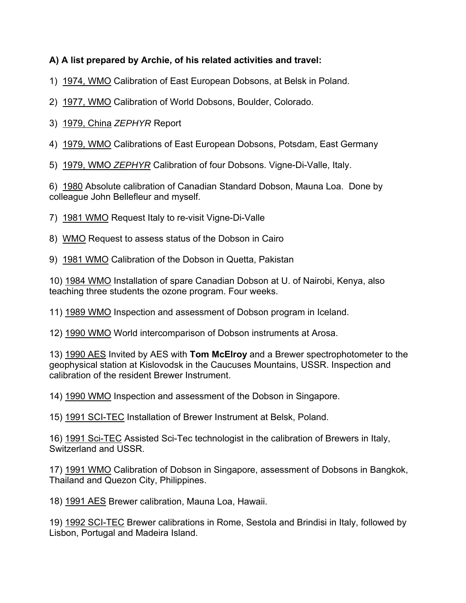### **A) A list prepared by Archie, of his related activities and travel:**

- 1) 1974, WMO Calibration of East European Dobsons, at Belsk in Poland.
- 2) 1977, WMO Calibration of World Dobsons, Boulder, Colorado.
- 3) 1979, China *ZEPHYR* Report

4) 1979, WMO Calibrations of East European Dobsons, Potsdam, East Germany

5) 1979, WMO *ZEPHYR* Calibration of four Dobsons. Vigne-Di-Valle, Italy.

6) 1980 Absolute calibration of Canadian Standard Dobson, Mauna Loa. Done by colleague John Bellefleur and myself.

7) 1981 WMO Request Italy to re-visit Vigne-Di-Valle

8) WMO Request to assess status of the Dobson in Cairo

9) 1981 WMO Calibration of the Dobson in Quetta, Pakistan

10) 1984 WMO Installation of spare Canadian Dobson at U. of Nairobi, Kenya, also teaching three students the ozone program. Four weeks.

11) 1989 WMO Inspection and assessment of Dobson program in Iceland.

12) 1990 WMO World intercomparison of Dobson instruments at Arosa.

13) 1990 AES Invited by AES with **Tom McElroy** and a Brewer spectrophotometer to the geophysical station at Kislovodsk in the Caucuses Mountains, USSR. Inspection and calibration of the resident Brewer Instrument.

14) 1990 WMO Inspection and assessment of the Dobson in Singapore.

15) 1991 SCI-TEC Installation of Brewer Instrument at Belsk, Poland.

16) 1991 Sci-TEC Assisted Sci-Tec technologist in the calibration of Brewers in Italy, Switzerland and USSR.

17) 1991 WMO Calibration of Dobson in Singapore, assessment of Dobsons in Bangkok, Thailand and Quezon City, Philippines.

18) 1991 AES Brewer calibration, Mauna Loa, Hawaii.

19) 1992 SCI-TEC Brewer calibrations in Rome, Sestola and Brindisi in Italy, followed by Lisbon, Portugal and Madeira Island.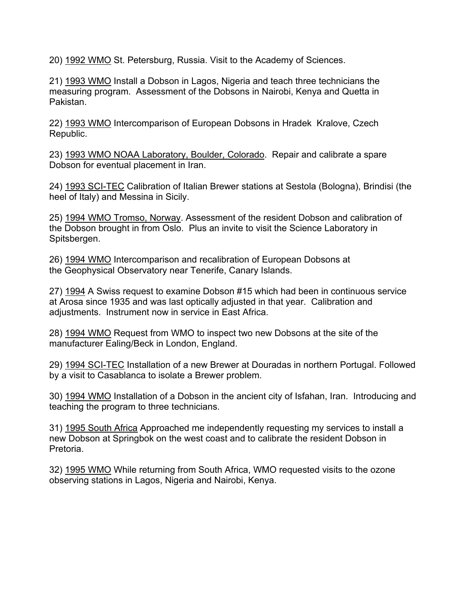20) 1992 WMO St. Petersburg, Russia. Visit to the Academy of Sciences.

21) 1993 WMO Install a Dobson in Lagos, Nigeria and teach three technicians the measuring program. Assessment of the Dobsons in Nairobi, Kenya and Quetta in Pakistan.

22) 1993 WMO Intercomparison of European Dobsons in Hradek Kralove, Czech Republic.

23) 1993 WMO NOAA Laboratory, Boulder, Colorado. Repair and calibrate a spare Dobson for eventual placement in Iran.

24) 1993 SCI-TEC Calibration of Italian Brewer stations at Sestola (Bologna), Brindisi (the heel of Italy) and Messina in Sicily.

25) 1994 WMO Tromso, Norway. Assessment of the resident Dobson and calibration of the Dobson brought in from Oslo. Plus an invite to visit the Science Laboratory in Spitsbergen.

26) 1994 WMO Intercomparison and recalibration of European Dobsons at the Geophysical Observatory near Tenerife, Canary Islands.

27) 1994 A Swiss request to examine Dobson #15 which had been in continuous service at Arosa since 1935 and was last optically adjusted in that year. Calibration and adjustments. Instrument now in service in East Africa.

28) 1994 WMO Request from WMO to inspect two new Dobsons at the site of the manufacturer Ealing/Beck in London, England.

29) 1994 SCI-TEC Installation of a new Brewer at Douradas in northern Portugal. Followed by a visit to Casablanca to isolate a Brewer problem.

30) 1994 WMO Installation of a Dobson in the ancient city of Isfahan, Iran. Introducing and teaching the program to three technicians.

31) 1995 South Africa Approached me independently requesting my services to install a new Dobson at Springbok on the west coast and to calibrate the resident Dobson in Pretoria.

32) 1995 WMO While returning from South Africa, WMO requested visits to the ozone observing stations in Lagos, Nigeria and Nairobi, Kenya.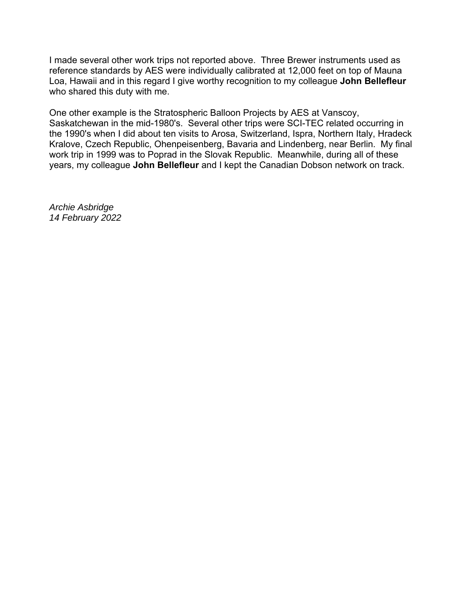I made several other work trips not reported above. Three Brewer instruments used as reference standards by AES were individually calibrated at 12,000 feet on top of Mauna Loa, Hawaii and in this regard I give worthy recognition to my colleague **John Bellefleur** who shared this duty with me.

One other example is the Stratospheric Balloon Projects by AES at Vanscoy, Saskatchewan in the mid-1980's. Several other trips were SCI-TEC related occurring in the 1990's when I did about ten visits to Arosa, Switzerland, Ispra, Northern Italy, Hradeck Kralove, Czech Republic, Ohenpeisenberg, Bavaria and Lindenberg, near Berlin. My final work trip in 1999 was to Poprad in the Slovak Republic. Meanwhile, during all of these years, my colleague **John Bellefleur** and I kept the Canadian Dobson network on track.

*Archie Asbridge 14 February 2022*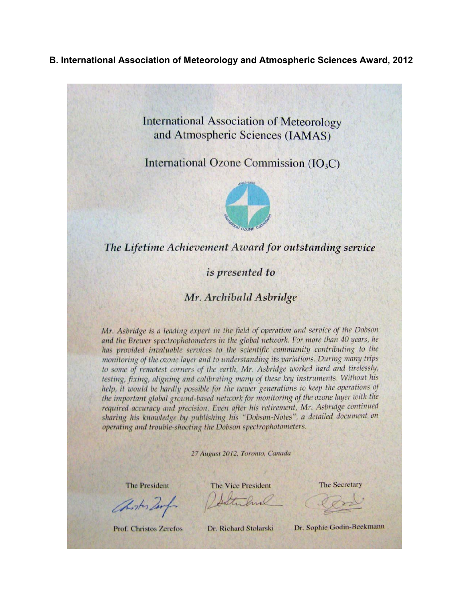#### B. International Association of Meteorology and Atmospheric Sciences Award, 2012

**International Association of Meteorology** and Atmospheric Sciences (IAMAS)

International Ozone Commission (IO<sub>3</sub>C)



## The Lifetime Achievement Award for outstanding service

is presented to

#### Mr. Archibald Asbridge

Mr. Asbridge is a leading expert in the field of operation and service of the Dobson and the Brewer spectrophotometers in the global network. For more than 40 years, he has provided invaluable services to the scientific community contributing to the monitoring of the ozone layer and to understanding its variations. During many trips to some of remotest corners of the earth, Mr. Asbridge worked hard and tirelessly, testing, fixing, aligning and calibrating many of these key instruments. Without his help, it would be hardly possible for the newer generations to keep the operations of the important global ground-based network for monitoring of the ozone layer with the required accuracy and precision. Even after his retirement, Mr. Asbridge continued sharing his knowledge by publishing his "Dobson-Notes", a detailed document on operating and trouble-shooting the Dobson spectrophotometers.

27 August 2012, Toronto, Canada

**The President** 

Christis Zerfor

The Vice President Soltward

**The Secretary** 

**Prof. Christos Zerefos** 

Dr. Richard Stolarski

Dr. Sophie Godin-Beekmann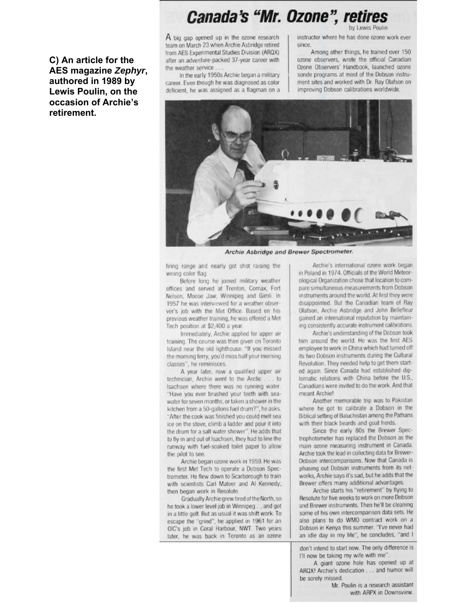# **Canada's "Mr. Ozone", retires**

C) An article for the AES magazine Zephyr, authored in 1989 by Lewis Poulin, on the occasion of Archie's retirement.

A big gap opened up in the ozone research team on March 23 when Archie Asbridge retired from AES Experimental Studies Division (ARQX) after an adventure-packed 37-year career with the weather service

In the early 1950s Archie began a military career. Even though he was diagnosed as color deficient, he was assigned as a flagman on a

instructor where he has done ozone work ever since.

Among other things, he trained over 150 ozone observers, wrote the official Canadian Ozone Observers' Handbook, launched ozone sonde programs at most of the Dobson instrument sites and worked with Dr. Ray Olafson on improving Dobson calibrations worldwide.



Archie Asbridge and Brewer Spectrometer.

firing range and nearly got shot raising the wrong color flag.

Before long he joined military weather offices and served at Trenton, Comax, Fort Nelson, Moose Jaw, Winnipeg and Gimli. In 1957 he was interviewed for a weather observer's job with the Met Office. Based on his previous weather training, he was offered a Met Tech position at \$2,400 a year.

Immediately, Archie applied for upper air training. The course was then given on Toronto Island near the old lighthouse. "If you missed the morning ferry, you'd miss half your morning classes", he reminisces.

A year later, now a qualified upper air technician, Archie went to the Arctic . . . to Isachsen where there was no running water. "Have you ever brushed your teeth with seawater for seven months, or taken a shower in the kitchen from a 50-gallons fuel drum?", he asks. "After the cook was finished you could melt sea ice on the stove, climb a ladder and pour it into the drum for a salt water shower". He adds that to fly in and out of Isachsen, they had to line the runway with fuel-soaked toilet paper to allow the pilot to see.

Archie began ozone work in 1959. He was the first Met Tech to operate a Dobson Spectrometer. He flew down to Scarborough to train with scientists Carl Mateer and Al Kennedy; then began work in Resolute.

Gradually Archie grew tired of the North, so he took a lower level job in Winnipeg. . and got in a little golf. But as usual it was shift work. To escape the "grind", he applied in 1961 for an OIC's job in Coral Harbour, NWT. Two years later, he was back in Toronto as an ozone

Archie's international ozone work began in Poland in 1974. Officials of the World Meteorological Organization chose that location to compare simultaneous measurements from Dobson instruments around the world. At first they were disappointed. But the Canadian team of Ray Olafson, Archie Asbridge and John Bellefleur gained an international reputation by maintaining consistently accurate instrument calibrations.

Archie's understanding of the Dobson took him around the world. He was the first AES employee to work in China which had turned off its two Dobson instruments during the Cultural Revolution. They needed help to get them started again. Since Canada had established diplomatic relations with China before the U.S., Canadians were invited to do the work. And that meant Archie!

Another memorable trip was to Pakistan where he got to calibrate a Dobson in the Biblical setting of Baluchistan among the Pathans with their black beards and goat herds.

Since the early 80s the Brewer Spectrophotometer has replaced the Dobson as the main ozone measuring instrument in Canada. Archie took the lead in collecting data for Brewer-Dobson intercomparisons. Now that Canada is phasing out Dobson instruments from its networks. Archie says it's sad, but he adds that the Brewer offers many additional advantages.

Archie starts his "retirement" by flying to Resolute for five weeks to work on more Dobson and Brewer instruments. Then he'll be cleaning some of his own intercomparison data sets. He also plans to do WMO contract work on a Dobson in Kenya this summer. "I've never had an idle day in my life", he concludes, "and I

don't intend to start now. The only difference is I'll now be taking my wife with me"

A giant ozone hole has opened up at ARQX! Archie's dedication . . . and humor will be sorely missed.

Mr. Poulin is a research assistant with ARPX in Downsview.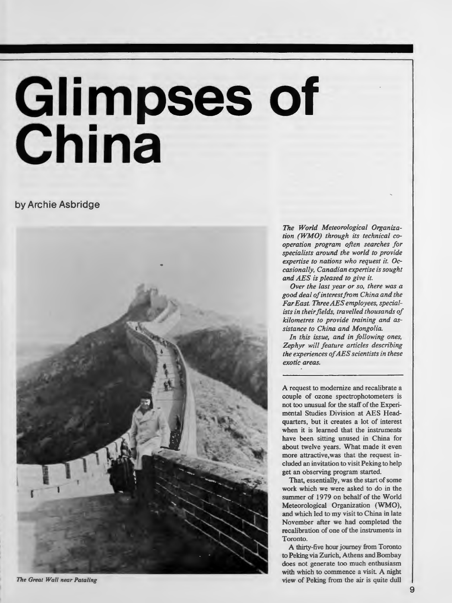# **Glimpses of China**

#### **by Archie Asbridge**



*The Great Wall near Pataling* 

*The World Meteorological Organization (WMO) through its technical cooperation program often searches for specialists around the world to provide expertise to nations who request it. Occasionally, Canadian expertise is sought and AES is pleased to give it.* 

*Over the last year or so, there was a good deal ofinterestfrom China and the Far East. Three AES employees, specialists in their fields, travelled thousands of kilometres to provide training and assistance to China and Mongolia.* 

*In this issue, and in following ones, Zephyr will feature articles describing the experiences of AES scientists in these exotic areas.* 

A request to modernize and recalibrate a couple of ozone spectrophotometers is not too unusual for the staff of the Experimental Studies Division at AES Headquarters, but it creates a lot of interest when it is learned that the instruments have been sitting unused in China for about twelve years. What made it even more attractive,was that the request included an invitation to visit Peking to help get an observing program started.

That, essentially, was the start of some work which we were asked to do in the summer of 1979 on behalf of the World Meteorological Organization **(WMO),**  and which led to my visit to China in late November after we had completed the recalibration of one of the instruments in Toronto.

**A** thirty-five hour journey from Toronto to Peking via Zurich, Athens and Bombay does not generate too much enthusiasm with which to commence a visit. A night view of Peking from the air is quite dull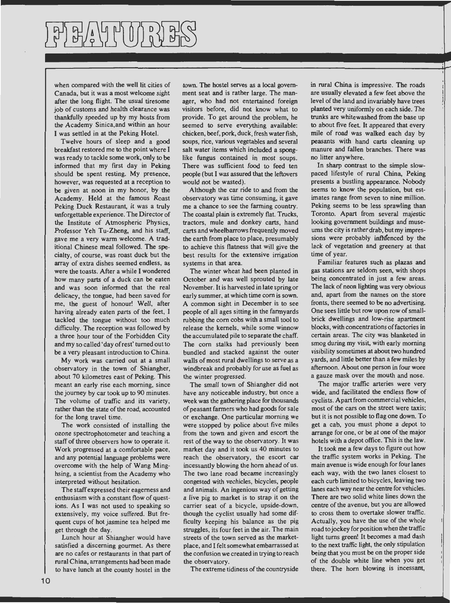when compared with the well lit cities of Canada, but it was a most welcome sight after the long flight. The usual tiresome job of customs and health clearance was thankfully speeded up by my hosts from the Academy Sinica,and within an hour I was settled in at the Peking Hotel.

Twelve hours of sleep and a good breakfast restored me to the point where I was ready to tackle some work, only to be informed that my first day in Peking should be spent resting. My presence, however, was requested at a reception to be given at noon in my honor, by the Academy. Held at the famous Roast Peking Duck Restaurant, it was a truly unforgettable experience. The Director of the Institute of Atmospheric Physics, Professor Yeh Tu-Zheng, and his staff, gave me a very warm welcome. A traditional Chinese meal followed. The specialty, of course, was roast duck but the array of extra dishes seemed endless, as were the toasts. After a while I wondered how many parts of a duck can be eaten and was soon informed that the real delicacy, the tongue, had been saved for me, the guest of honour! Well, after having already eaten parts of the feet, I tackled the tongue without too much difficulty. The reception was followed by a three hour tour of the Forbidden City and my so called 'day ofrest' turned out to **be** a very pleasant introduction to China.

My work was carried out at a small observatory in the town of Shiangher, about 70 kilometres east of Peking. This meant an early rise each morning, since the journey by car took up to 90 minutes. The volume of traffic and its variety, rather than the state of the road, accounted for the long travel time.

The work consisted of installing the ozone spectrophotometer and teaching a staff of three observers how to operate it. Work progressed at a comfortable pace, and any potential language problems were overcome with the help of Wang Minghsing, a scientist from the Academy who interpreted without hesitation.

The staff expressed their eagerness and enthusiasm with a constant flow of questions. As I was not used to speaking so extensively, my voice suffered. But frequent cups of hot jasmine tea helped me get through the day.

Lunch hour at Shiangher would have satisfied a discerning gourmet. As there are no cafes or restaurants in that part of rural China, arrangements had been made to have lunch at the county hostel in the

town. The hostel serves as a local government seat and is rather large. The manager, who had not entertained foreign visitors before, did not know what to provide. To get around the problem, he seemed to serve everything available: chicken, beef, pork, duck, fresh water fish, soups, rice, various vegetables and several salt water items which included a sponglike fungus contained in most soups. There was sufficient food to feed ten people (but I was assured that the leftovers would not be wasted).

Although the car ride to and from the observatory was time consuming, it gave me a chance to see the farming country. The coastal plain is extremely flat. Trucks, tractors, mule and donkey carts, hand carts and wheelbarrows frequently moved the earth from place to place, presumably to achieve this flatness that will give the best results for the extensive irrigation systems in that area.

The winter wheat had been planted in October and was well sprouted by late November. It is harvested in late spring or early summer, at which time com is sown. A common sight in December is to see people of all ages sitting in the farmyards rubbing the com cobs with a small tool to release the kernels, while some winnow the accumulated pile to separate the chaff. The com stalks had previously been bundled and stacked against the outer walls of most rural dwellings to serve as a windbreak and probably for use as fuel as the winter progressed.

The small town of Shiangher did not have any noticeable industry, but once a week was the gathering place for thousands of peasant farmers who had goods for sale or exchange. One particular morning we were stopped by police about five miles from the town and given and escort the rest of the way to the observatory. It was market day and it took us 40 minutes to reach the observatory, the escort car incessantly blowing the horn ahead of us. The two lane road became increasingly congested with vechicles, bicycles, people and animals. An ingenious way of getting a live pig to market is to strap it on the carrier seat of a bicycle, upside-down, though the cyclist usually had some difficulty keeping his balance as the pig struggles, its four feet in the air. The main streets of the town served as the marketplace, and I felt somewhat embarrassed at the confusion we created in trying to reach the observatory.

The extreme tidiness of the countryside

in rural China is impressive. The roads are usually elevated a few feet above the level of the land and invariably have trees planted very uniformly on each side. The trunks are whitewashed from the base up to about five feet. It appeared that every mile of road was walked each day by peasants with hand carts cleaning up manure and fallen branches. There was no litter anywhere.

In sharp contrast to the simple slowpaced lifestyle of rural China, Peking presents a bustling appearance. Nobody seems to know the population, but estimates range from seven to nine million. Peking seems to be less sprawling than Toronto. Apart from several majestic looking government buildings and museums the city is rather drab, but my impressions were probably influenced by the lack of vegetation and greenery at that time of year.

Familiar features such as plazas and gas stations are seldom seen, with shops being concentrated in just a few areas. The lack of neon lighting was very obvious and, apart from the names on the store fronts, there seemed to be no advertising. One sees little but row upon row of smallbrick dwellings and low-rise apartment blocks, with concentrations of factories in certain areas. The city was blanketed in smog during my visit, with early morning visibility sometimes at about two hundred yards, and little better than a few miles by afternoon. About one person in four wore a gauze mask over the mouth and nose.

The major traffic arteries were very wide, and facilitated the endless flow of cyclists. Apart from commercial vehicles, most of the cars on the street were taxis; but it is not possible to flag one down. To get a cab, you must phone a depot to arrange for one, or be at one of the major hotels with a depot office. This is the Jaw.

It took me a few days to figure out how the traffic system works in Peking. The main avenue is wide enough for four lanes each way, with the two lanes closest to each curb limited to bicycles, leaving two lanes each way near the centre for vehicles. There are two solid white lines down the centre of the avenue, but you are allowed to cross them to overtake slower traffic. Actually, you have the use of the whole road to jockey for position when the traffic light turns green! It becomes a mad dash to the next traffic light, the only stipulation being that you must be on the proper side of the double white line when you get there. The horn blowing is incessant,